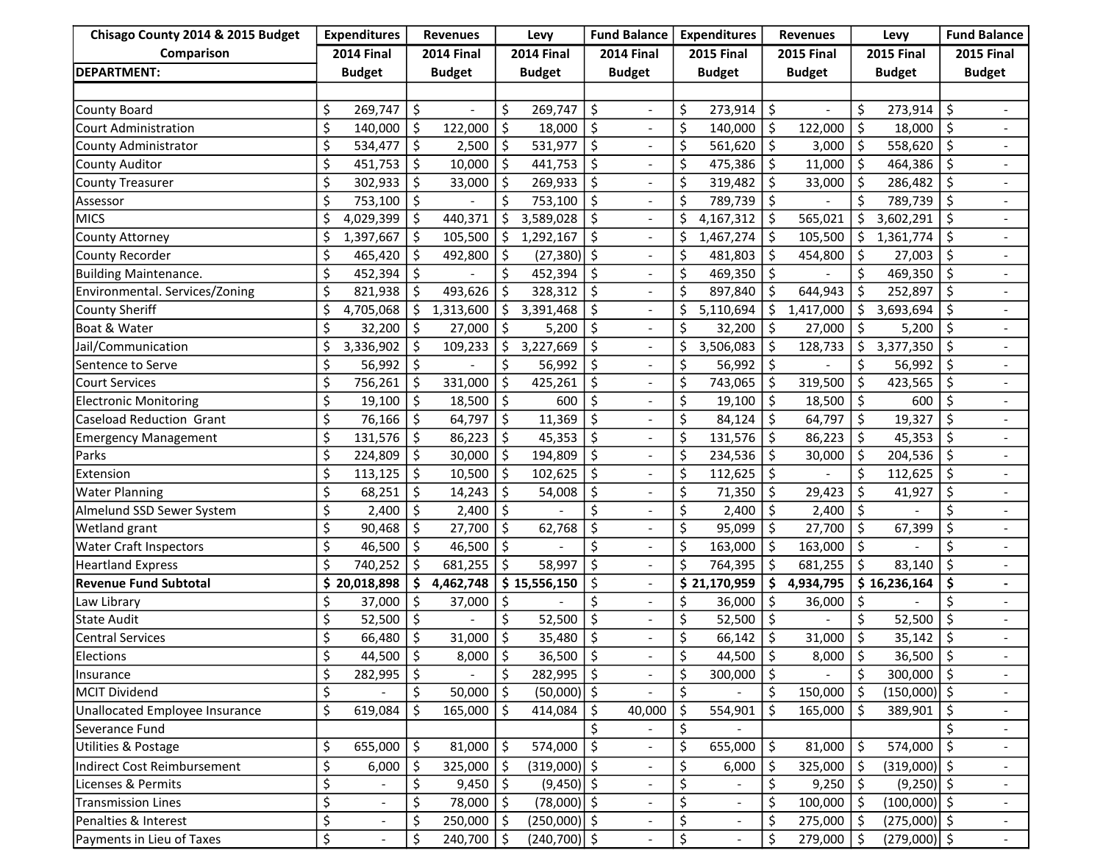| Chisago County 2014 & 2015 Budget | <b>Expenditures</b>             |                          | <b>Revenues</b>   |               | Levy                       |                | <b>Fund Balance</b> |                          | <b>Expenditures</b> |                          | <b>Revenues</b>   |                | Levy       |                | <b>Fund Balance</b> |                          |
|-----------------------------------|---------------------------------|--------------------------|-------------------|---------------|----------------------------|----------------|---------------------|--------------------------|---------------------|--------------------------|-------------------|----------------|------------|----------------|---------------------|--------------------------|
| Comparison                        | <b>2014 Final</b>               |                          | <b>2014 Final</b> |               | <b>2014 Final</b>          |                | <b>2014 Final</b>   |                          | <b>2015 Final</b>   |                          | <b>2015 Final</b> |                | 2015 Final |                | <b>2015 Final</b>   |                          |
| <b>DEPARTMENT:</b>                |                                 | <b>Budget</b>            |                   | <b>Budget</b> |                            | <b>Budget</b>  |                     | <b>Budget</b>            |                     | <b>Budget</b>            |                   | <b>Budget</b>  |            | <b>Budget</b>  |                     | <b>Budget</b>            |
|                                   |                                 |                          |                   |               |                            |                |                     |                          |                     |                          |                   |                |            |                |                     |                          |
| County Board                      | \$                              | 269,747                  | \$                |               | \$                         | 269,747        | \$                  | $\overline{\phantom{a}}$ | \$                  | 273,914                  | \$                |                | Ś          | 273,914        | Ŝ.                  | $\blacksquare$           |
| Court Administration              | \$                              | 140,000                  | \$                | 122,000       | \$                         | 18,000         | \$                  | $\overline{\phantom{a}}$ | \$                  | $140,000$   \$           |                   | 122,000        | Š.         | 18,000         | \$                  |                          |
| County Administrator              | \$                              | 534,477                  | \$                | 2,500         | \$                         | 531,977        | \$                  | $\frac{1}{2}$            | \$                  | $561,620$   \$           |                   | 3,000          | \$         | 558,620        | \$                  |                          |
| <b>County Auditor</b>             | \$                              | 451,753                  | \$                | 10,000        | \$                         | 441,753        | \$                  | $\frac{1}{2}$            | \$                  | 475,386                  | \$                | 11,000         | \$         | 464,386        | \$                  |                          |
| <b>County Treasurer</b>           | \$                              | 302,933                  | \$                | 33,000        | \$                         | 269,933        | \$                  | $\overline{\phantom{a}}$ | \$                  | 319,482                  | \$                | 33,000         | \$         | 286,482        | \$                  |                          |
| Assessor                          | \$                              | 753,100                  | \$                |               | \$                         | 753,100        | \$                  |                          | \$                  | 789,739                  | \$                |                | Ś          | 789,739        | \$                  |                          |
| <b>MICS</b>                       | \$                              | 4,029,399                | Ŝ.                | 440,371       | \$                         | 3,589,028      | \$                  | $\overline{\phantom{a}}$ | \$                  | 4,167,312                | Ŝ.                | 565,021        | \$         | 3,602,291      | Ŝ.                  |                          |
| County Attorney                   | \$                              | 1,397,667                | Ŝ.                | 105,500       | \$                         | 1,292,167      | \$                  | $\blacksquare$           | \$                  | 1,467,274                | \$                | 105,500        | \$         | 1,361,774      | Ŝ.                  |                          |
| County Recorder                   | \$                              | 465,420                  | \$                | 492,800       | \$                         | $(27,380)$ \$  |                     | $\overline{\phantom{a}}$ | \$                  | 481,803                  | \$                | 454,800        | \$         | 27,003         | \$                  |                          |
| <b>Building Maintenance.</b>      | \$                              | 452,394                  | \$                |               | \$                         | 452,394        | \$                  | $\overline{\phantom{a}}$ | \$                  | $469,350$   \$           |                   |                | \$         | 469,350        | Ŝ.                  |                          |
| Environmental. Services/Zoning    | \$                              | 821,938                  | \$                | 493,626       | \$                         | 328,312        | \$                  | $\overline{a}$           | \$                  | 897,840                  | \$                | 644,943        |            | 252,897        | Ŝ.                  |                          |
| County Sheriff                    | \$                              | 4,705,068                | \$                | 1,313,600     | \$                         | 3,391,468      | Ś                   | $\frac{1}{2}$            | \$                  | 5,110,694                | \$                | 1,417,000      | \$         | 3,693,694      | \$                  |                          |
| Boat & Water                      | \$                              | 32,200                   | Ŝ.                | 27,000        | \$                         | 5,200          | \$                  | $\overline{\phantom{a}}$ | \$                  | $32,200$   \$            |                   | 27,000         | \$         | 5,200          | \$                  |                          |
| Jail/Communication                | Ś                               | 3,336,902                | \$                | 109,233       | \$                         | 3,227,669      | \$                  | $\frac{1}{2}$            | \$                  | 3,506,083                | \$                | 128,733        | \$         | 3,377,350      | Ŝ.                  |                          |
| Sentence to Serve                 | \$                              | 56,992                   | \$                |               | \$                         | 56,992         | \$                  | $\blacksquare$           | \$                  | 56,992                   | \$                |                | \$         | 56,992         | \$                  |                          |
| <b>Court Services</b>             | \$                              | 756,261                  | \$                | 331,000       | \$                         | 425,261        | \$                  | $\overline{\phantom{a}}$ | \$                  | 743,065                  | \$                | 319,500        | \$         | 423,565        | \$                  |                          |
| <b>Electronic Monitoring</b>      | \$                              | 19,100                   | \$                | 18,500        | \$                         | 600            | Ś                   |                          | \$                  | 19,100                   | \$                | 18,500         | \$         | 600            | Ŝ.                  |                          |
| Caseload Reduction Grant          | \$                              | 76,166                   | \$                | 64,797        | \$                         | 11,369         | \$                  | $\overline{\phantom{a}}$ | \$                  | 84,124                   | \$                | 64,797         | \$         | 19,327         | Ŝ.                  |                          |
| <b>Emergency Management</b>       | \$                              | 131,576                  | \$                | 86,223        | \$                         | 45,353         | \$                  | $\overline{\phantom{a}}$ | \$                  | 131,576                  | \$                | 86,223         | \$         | 45,353         | Ŝ.                  |                          |
| Parks                             | \$                              | 224,809                  | \$                | 30,000        | \$                         | 194,809        | \$                  | $\blacksquare$           | \$                  | 234,536                  | \$                | 30,000         | \$         | 204,536        | \$                  |                          |
| Extension                         | \$                              | 113,125                  | \$                | 10,500        | \$                         | 102,625        | \$                  | $\blacksquare$           | \$                  | 112,625                  | \$                |                | \$         | 112,625        | Ŝ.                  |                          |
| <b>Water Planning</b>             | \$                              | 68,251                   | \$                | 14,243        | \$                         | 54,008         | S                   |                          | \$                  | 71,350                   | \$                | 29,423         | \$         | 41,927         | \$                  |                          |
| Almelund SSD Sewer System         | \$                              | 2,400                    | \$                | 2,400         | \$                         |                |                     |                          | \$                  | 2,400                    | \$                | 2,400          | \$         |                | \$                  |                          |
| Wetland grant                     | \$                              | 90,468                   | Ś                 | 27,700        | \$                         | 62,768         | \$                  | $\blacksquare$           | \$                  | 95,099                   | \$                | 27,700         | \$         | 67,399         | \$                  |                          |
| <b>Water Craft Inspectors</b>     | \$                              | 46,500                   | \$                | 46,500        | \$                         |                | Ś                   | $\overline{a}$           | \$                  | 163,000                  | \$                | 163,000        | $\zeta$    |                | Ś.                  |                          |
| <b>Heartland Express</b>          | \$                              | 740,252                  | \$                | 681,255       | \$                         | 58,997         | \$                  | $\blacksquare$           | \$                  | 764,395                  | \$                | 681,255        | \$         | 83,140         | \$                  |                          |
| <b>Revenue Fund Subtotal</b>      |                                 | \$20,018,898             | \$                | 4,462,748     |                            | \$15,556,150   | \$                  | $\overline{\phantom{a}}$ |                     | \$21,170,959             | \$                | 4,934,795      |            | \$16,236,164   | \$                  |                          |
| Law Library                       | \$                              | 37,000                   | \$                | 37,000        | \$                         |                |                     |                          | \$                  | 36,000                   | \$                | 36,000         | \$         |                | \$                  |                          |
| <b>State Audit</b>                | \$                              | 52,500                   | Ś                 |               | \$                         | 52,500         | \$                  | $\overline{\phantom{a}}$ | \$                  | 52,500                   | \$                |                | Ś          | 52,500         | \$                  |                          |
| Central Services                  | \$                              | 66,480                   | \$                | 31,000        | \$                         | 35,480         | \$                  |                          | \$                  | 66,142                   | \$                | 31,000         | \$         | 35,142         | \$                  |                          |
| Elections                         | \$                              | 44,500                   | \$                | 8,000         | \$                         | $36,500$   \$  |                     |                          | \$                  | 44,500 $\vert$ \$        |                   | $8,000$   \$   |            | 36,500         | $\vert$ \$          |                          |
| Insurance                         | \$                              | 282,995                  | \$                |               | \$                         | 282,995        | $\ddot{\mathsf{S}}$ |                          | \$                  | $300,000$   \$           |                   |                | \$         | 300,000        | $\vert$ \$          |                          |
| <b>MCIT Dividend</b>              | \$                              |                          | \$                | 50,000        | \$                         | $(50,000)$ \$  |                     |                          | \$                  |                          | \$                | $150,000$   \$ |            | $(150,000)$ \$ |                     |                          |
| Unallocated Employee Insurance    | \$                              | 619,084                  | \$                | 165,000       | \$                         | 414,084        | \$                  | 40,000                   | \$                  | 554,901                  | Ŝ.                | $165,000$   \$ |            | 389,901        | \$                  | $\overline{\phantom{a}}$ |
| Severance Fund                    |                                 |                          |                   |               |                            |                |                     |                          | \$                  |                          |                   |                |            |                |                     |                          |
| Utilities & Postage               | \$                              | 655,000                  | \$                | 81,000        | \$                         | 574,000        | \$                  | $\overline{\phantom{a}}$ | \$                  | 655,000 $\frac{1}{5}$    |                   | $81,000$   \$  |            | 574,000        | \$ ا                |                          |
| Indirect Cost Reimbursement       | \$                              | 6,000                    | \$                | 325,000       | \$                         | $(319,000)$ \$ |                     | $\blacksquare$           | \$                  | $6,000$   \$             |                   | 325,000   \$   |            | $(319,000)$ \$ |                     |                          |
| Licenses & Permits                | \$                              |                          | \$                | 9,450         | $\zeta$                    | $(9,450)$ \$   |                     |                          | \$                  |                          | \$                | $9,250$   \$   |            | $(9,250)$ \$   |                     |                          |
| <b>Transmission Lines</b>         | \$                              | $\overline{\phantom{a}}$ |                   | 78,000        | \$                         | $(78,000)$ \$  |                     | $\overline{\phantom{a}}$ | \$                  | $\overline{\phantom{a}}$ | \$                | $100,000$   \$ |            | $(100,000)$ \$ |                     | $\overline{\phantom{a}}$ |
| Penalties & Interest              | \$                              | $\overline{\phantom{a}}$ | \$                | 250,000       | $\zeta$                    | $(250,000)$ \$ |                     | $\overline{\phantom{a}}$ | \$                  | $\overline{\phantom{a}}$ | \$                | $275,000$   \$ |            | $(275,000)$ \$ |                     | $\overline{\phantom{a}}$ |
| Payments in Lieu of Taxes         | $\overline{\boldsymbol{\zeta}}$ | $\overline{a}$           | \$                | 240,700       | $\vert \mathfrak{s} \vert$ | $(240,700)$ \$ |                     | $\blacksquare$           | \$                  | $\overline{\phantom{a}}$ | \$                | $279,000$   \$ |            | $(279,000)$ \$ |                     | $\omega$ .               |